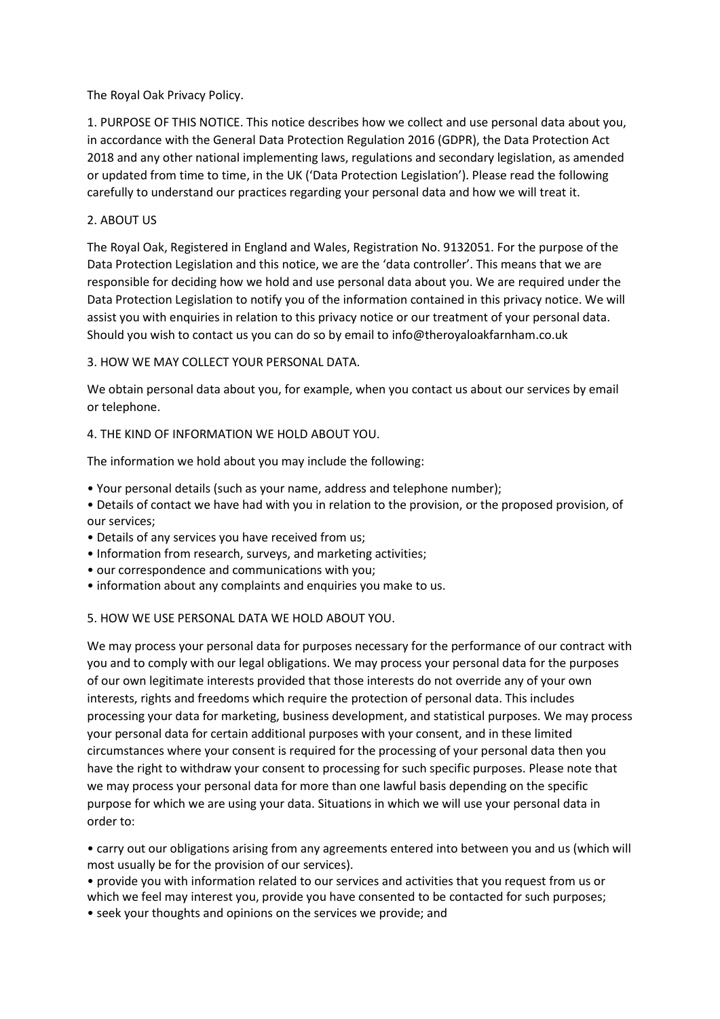The Royal Oak Privacy Policy.

1. PURPOSE OF THIS NOTICE. This notice describes how we collect and use personal data about you, in accordance with the General Data Protection Regulation 2016 (GDPR), the Data Protection Act 2018 and any other national implementing laws, regulations and secondary legislation, as amended or updated from time to time, in the UK ('Data Protection Legislation'). Please read the following carefully to understand our practices regarding your personal data and how we will treat it.

## 2. ABOUT US

The Royal Oak, Registered in England and Wales, Registration No. 9132051. For the purpose of the Data Protection Legislation and this notice, we are the 'data controller'. This means that we are responsible for deciding how we hold and use personal data about you. We are required under the Data Protection Legislation to notify you of the information contained in this privacy notice. We will assist you with enquiries in relation to this privacy notice or our treatment of your personal data. Should you wish to contact us you can do so by email to info@theroyaloakfarnham.co.uk

3. HOW WE MAY COLLECT YOUR PERSONAL DATA.

We obtain personal data about you, for example, when you contact us about our services by email or telephone.

4. THE KIND OF INFORMATION WE HOLD ABOUT YOU.

The information we hold about you may include the following:

• Your personal details (such as your name, address and telephone number);

• Details of contact we have had with you in relation to the provision, or the proposed provision, of our services;

- Details of any services you have received from us;
- Information from research, surveys, and marketing activities;
- our correspondence and communications with you;
- information about any complaints and enquiries you make to us.

## 5. HOW WE USE PERSONAL DATA WE HOLD ABOUT YOU.

We may process your personal data for purposes necessary for the performance of our contract with you and to comply with our legal obligations. We may process your personal data for the purposes of our own legitimate interests provided that those interests do not override any of your own interests, rights and freedoms which require the protection of personal data. This includes processing your data for marketing, business development, and statistical purposes. We may process your personal data for certain additional purposes with your consent, and in these limited circumstances where your consent is required for the processing of your personal data then you have the right to withdraw your consent to processing for such specific purposes. Please note that we may process your personal data for more than one lawful basis depending on the specific purpose for which we are using your data. Situations in which we will use your personal data in order to:

• carry out our obligations arising from any agreements entered into between you and us (which will most usually be for the provision of our services).

• provide you with information related to our services and activities that you request from us or which we feel may interest you, provide you have consented to be contacted for such purposes;

• seek your thoughts and opinions on the services we provide; and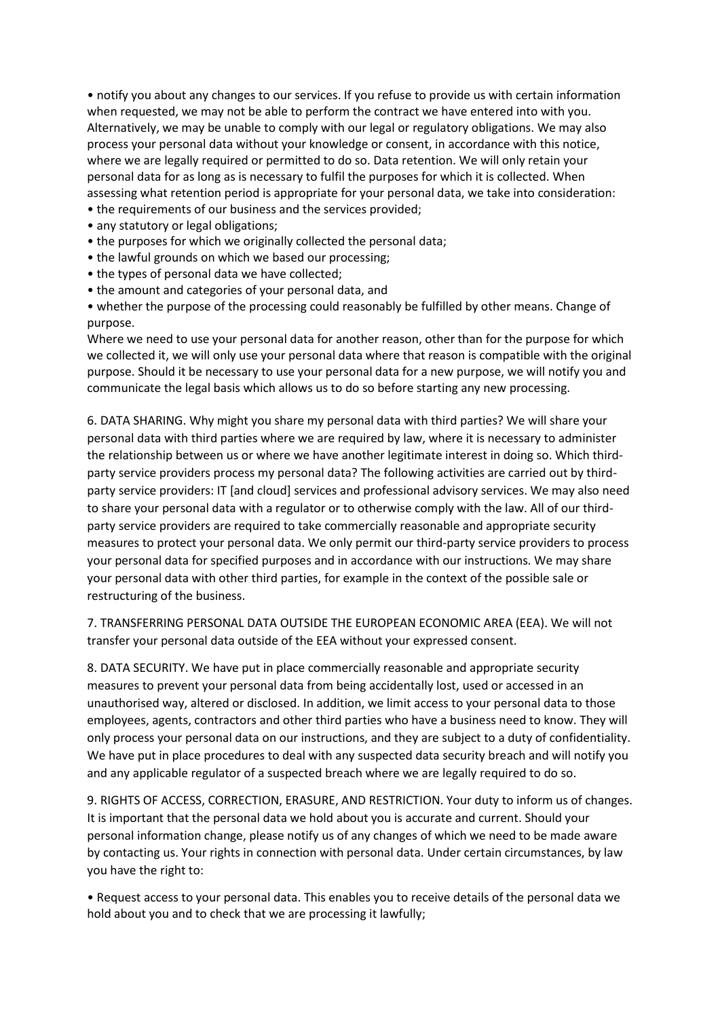• notify you about any changes to our services. If you refuse to provide us with certain information when requested, we may not be able to perform the contract we have entered into with you. Alternatively, we may be unable to comply with our legal or regulatory obligations. We may also process your personal data without your knowledge or consent, in accordance with this notice, where we are legally required or permitted to do so. Data retention. We will only retain your personal data for as long as is necessary to fulfil the purposes for which it is collected. When assessing what retention period is appropriate for your personal data, we take into consideration:

- the requirements of our business and the services provided;
- any statutory or legal obligations;
- the purposes for which we originally collected the personal data;
- the lawful grounds on which we based our processing;
- the types of personal data we have collected;
- the amount and categories of your personal data, and
- whether the purpose of the processing could reasonably be fulfilled by other means. Change of purpose.

Where we need to use your personal data for another reason, other than for the purpose for which we collected it, we will only use your personal data where that reason is compatible with the original purpose. Should it be necessary to use your personal data for a new purpose, we will notify you and communicate the legal basis which allows us to do so before starting any new processing.

6. DATA SHARING. Why might you share my personal data with third parties? We will share your personal data with third parties where we are required by law, where it is necessary to administer the relationship between us or where we have another legitimate interest in doing so. Which thirdparty service providers process my personal data? The following activities are carried out by thirdparty service providers: IT [and cloud] services and professional advisory services. We may also need to share your personal data with a regulator or to otherwise comply with the law. All of our thirdparty service providers are required to take commercially reasonable and appropriate security measures to protect your personal data. We only permit our third-party service providers to process your personal data for specified purposes and in accordance with our instructions. We may share your personal data with other third parties, for example in the context of the possible sale or restructuring of the business.

7. TRANSFERRING PERSONAL DATA OUTSIDE THE EUROPEAN ECONOMIC AREA (EEA). We will not transfer your personal data outside of the EEA without your expressed consent.

8. DATA SECURITY. We have put in place commercially reasonable and appropriate security measures to prevent your personal data from being accidentally lost, used or accessed in an unauthorised way, altered or disclosed. In addition, we limit access to your personal data to those employees, agents, contractors and other third parties who have a business need to know. They will only process your personal data on our instructions, and they are subject to a duty of confidentiality. We have put in place procedures to deal with any suspected data security breach and will notify you and any applicable regulator of a suspected breach where we are legally required to do so.

9. RIGHTS OF ACCESS, CORRECTION, ERASURE, AND RESTRICTION. Your duty to inform us of changes. It is important that the personal data we hold about you is accurate and current. Should your personal information change, please notify us of any changes of which we need to be made aware by contacting us. Your rights in connection with personal data. Under certain circumstances, by law you have the right to:

• Request access to your personal data. This enables you to receive details of the personal data we hold about you and to check that we are processing it lawfully;